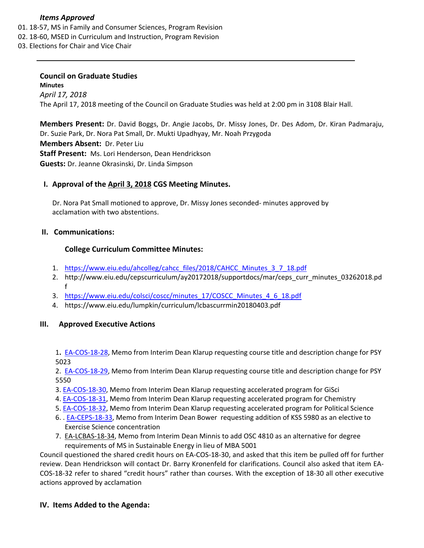### *Items Approved*

- 01. 18‐[57,](http://castle.eiu.edu/eiucgs/currentagendaitems/agenda18-57.pdf) MS in Family and Consumer Sciences, Program Revision
- 02. 18‐[60,](http://castle.eiu.edu/eiucgs/currentagendaitems/agenda18-60.pdf) MSED in Curriculum and Instruction, Program Revision
- 03. Elections for Chair and Vice Chair

# **Council on Graduate Studies**

**Minutes** *April 17, 2018* The April 17, 2018 meeting of the Council on Graduate Studies was held at 2:00 pm in 3108 Blair Hall.

**Members Present:** Dr. David Boggs, Dr. Angie Jacobs, Dr. Missy Jones, Dr. Des Adom, Dr. Kiran Padmaraju, Dr. Suzie Park, Dr. Nora Pat Small, Dr. Mukti Upadhyay, Mr. Noah Przygoda **Members Absent:** Dr. Peter Liu **Staff Present:** Ms. Lori Henderson, Dean Hendrickson **Guests:** Dr. Jeanne Okrasinski, Dr. Linda Simpson

## **I. Approval of the April 3, [2018](http://castle.eiu.edu/eiucgs/currentminutes/Minutes04-03-18.pdf) CGS Meeting Minutes.**

Dr. Nora Pat Small motioned to approve, Dr. Missy Jones seconded‐ minutes approved by acclamation with two abstentions.

### **II. Communications:**

### **College Curriculum Committee Minutes:**

- 1. [https://www.eiu.edu/ahcolleg/cahcc\\_files/2018/CAHCC\\_Minutes\\_3\\_7\\_18.pdf](https://www.eiu.edu/ahcolleg/cahcc_files/2018/CAHCC_Minutes_3_7_18.pdf)
- 2. [http://www.eiu.edu/cepscurriculum/ay20172018/supportdocs/mar/ceps\\_curr\\_minutes\\_03262018.pd](http://www.eiu.edu/cepscurriculum/ay20172018/supportdocs/mar/ceps_curr_minutes_03262018.pdf) f
- 3. [https://www.eiu.edu/colsci/coscc/minutes\\_17/COSCC\\_Minutes\\_4\\_6\\_18.pdf](https://www.eiu.edu/colsci/coscc/minutes_17/COSCC_Minutes_4_6_18.pdf)
- 4. <https://www.eiu.edu/lumpkin/curriculum/lcbascurrmin20180403.pdf>

#### **III. Approved Executive Actions**

1**.** EA‐[COS](http://castle.eiu.edu/~eiucgs/exec-actions/EA-COS-18-28.pdf)‐18‐28, Memo from Interim Dean Klarup requesting course title and description change for PSY 5023

2. EA-[COS](http://castle.eiu.edu/~eiucgs/exec-actions/EA-COS-18-29.pdf)-18-29, Memo from Interim Dean Klarup requesting course title and description change for PSY 5550

- 3. EA-[COS](http://castle.eiu.edu/~eiucgs/exec-actions/EA-COS-18-30.pdf)-18-30, Memo from Interim Dean Klarup requesting accelerated program for GiSci
- 4. EA-[COS](http://castle.eiu.edu/~eiucgs/exec-actions/EA-COS-18-31.pdf)-18-31, Memo from Interim Dean Klarup requesting accelerated program for Chemistry
- 5. EA‐[COS](http://castle.eiu.edu/~eiucgs/exec-actions/EA-COS-18-32.pdf)‐18‐32, Memo from Interim Dean Klarup requesting accelerated program for Political Science
- 6. . EA‐[CEPS](http://castle.eiu.edu/~eiucgs/exec-actions/EA-CEPS-18-33.pdf)‐18‐33, Memo from Interim Dean Bower requesting addition of KSS 5980 as an elective to Exercise Science concentration
- 7. EA‐[LCBAS](http://castle.eiu.edu/~eiucgs/exec-actions/EA-LCBAS-18-34.pdf)‐18‐34, Memo from Interim Dean Minnis to add OSC 4810 as an alternative for degree requirements of MS in Sustainable Energy in lieu of MBA 5001

Council questioned the shared credit hours on EA‐COS‐18‐30, and asked that this item be pulled off for further review. Dean Hendrickson will contact Dr. Barry Kronenfeld for clarifications. Council also asked that item EA‐ COS‐18‐32 refer to shared "credit hours" rather than courses. With the exception of 18‐30 all other executive actions approved by acclamation

#### **IV. Items Added to the Agenda:**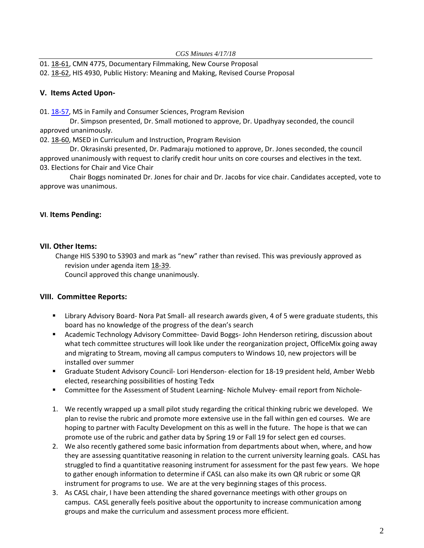01. 18‐[61,](http://castle.eiu.edu/eiucgs/currentagendaitems/agenda18-61.pdf) CMN 4775, Documentary Filmmaking, New Course Proposal

## 02. 18‐[62,](http://castle.eiu.edu/eiucgs/currentagendaitems/agenda18-62.pdf) HIS 4930, Public History: Meaning and Making, Revised Course Proposal

## **V. Items Acted Upon‐**

01. 18-[57,](http://castle.eiu.edu/eiucgs/currentagendaitems/agenda18-57.pdf) MS in Family and Consumer Sciences, Program Revision

 Dr. Simpson presented, Dr. Small motioned to approve, Dr. Upadhyay seconded, the council approved unanimously.

02. 18‐[60,](http://castle.eiu.edu/eiucgs/currentagendaitems/agenda18-60.pdf) MSED in Curriculum and Instruction, Program Revision

 Dr. Okrasinski presented, Dr. Padmaraju motioned to approve, Dr. Jones seconded, the council approved unanimously with request to clarify credit hour units on core courses and electives in the text. 03. Elections for Chair and Vice Chair

 Chair Boggs nominated Dr. Jones for chair and Dr. Jacobs for vice chair. Candidates accepted, vote to approve was unanimous.

## **VI**. **Items Pending:**

## **VII. Other Items:**

Change HIS 5390 to 53903 and mark as "new" rather than revised. This was previously approved as revision under agenda item 18‐[39.](http://castle.eiu.edu/eiucgs/currentagendaitems/agenda18-39.pdf)

Council approved this change unanimously.

## **VIII. Committee Reports:**

- Library Advisory Board- Nora Pat Small- all research awards given, 4 of 5 were graduate students, this board has no knowledge of the progress of the dean's search
- Academic Technology Advisory Committee- David Boggs- John Henderson retiring, discussion about what tech committee structures will look like under the reorganization project, OfficeMix going away and migrating to Stream, moving all campus computers to Windows 10, new projectors will be installed over summer
- Graduate Student Advisory Council- Lori Henderson- election for 18-19 president held, Amber Webb elected, researching possibilities of hosting Tedx
- Committee for the Assessment of Student Learning- Nichole Mulvey- email report from Nichole-
- 1. We recently wrapped up a small pilot study regarding the critical thinking rubric we developed. We plan to revise the rubric and promote more extensive use in the fall within gen ed courses. We are hoping to partner with Faculty Development on this as well in the future. The hope is that we can promote use of the rubric and gather data by Spring 19 or Fall 19 for select gen ed courses.
- 2. We also recently gathered some basic information from departments about when, where, and how they are assessing quantitative reasoning in relation to the current university learning goals. CASL has struggled to find a quantitative reasoning instrument for assessment for the past few years. We hope to gather enough information to determine if CASL can also make its own QR rubric or some QR instrument for programs to use. We are at the very beginning stages of this process.
- 3. As CASL chair, I have been attending the shared governance meetings with other groups on campus. CASL generally feels positive about the opportunity to increase communication among groups and make the curriculum and assessment process more efficient.